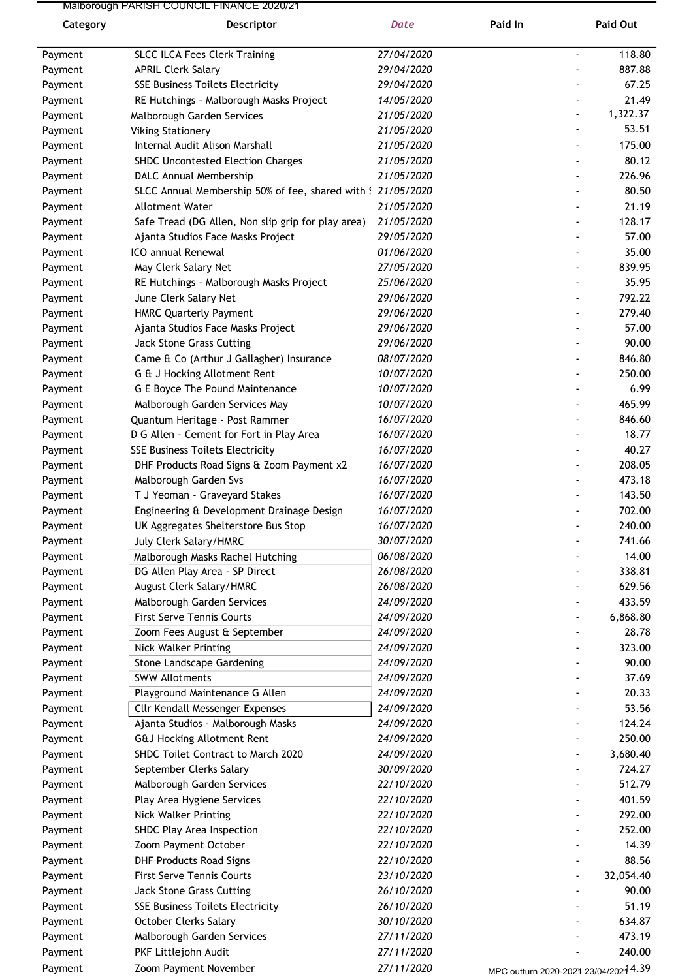## Malborough PARISH COUNCIL FINANCE 2020/21

| Category           | Descriptor                                                        | Date                     | Paid In                              | Paid Out         |
|--------------------|-------------------------------------------------------------------|--------------------------|--------------------------------------|------------------|
| Payment            | <b>SLCC ILCA Fees Clerk Training</b>                              | 27/04/2020               |                                      | 118.80           |
| Payment            | <b>APRIL Clerk Salary</b>                                         | 29/04/2020               |                                      | 887.88           |
| Payment            | <b>SSE Business Toilets Electricity</b>                           | 29/04/2020               |                                      | 67.25            |
| Payment            | RE Hutchings - Malborough Masks Project                           | 14/05/2020               |                                      | 21.49            |
| Payment            | Malborough Garden Services                                        | 21/05/2020               |                                      | 1,322.37         |
| Payment            | <b>Viking Stationery</b>                                          | 21/05/2020               |                                      | 53.51            |
| Payment            | Internal Audit Alison Marshall                                    | 21/05/2020               |                                      | 175.00           |
| Payment            | SHDC Uncontested Election Charges                                 | 21/05/2020               |                                      | 80.12            |
| Payment            | DALC Annual Membership                                            | 21/05/2020               |                                      | 226.96           |
| Payment            | SLCC Annual Membership 50% of fee, shared with ! 21/05/2020       |                          |                                      | 80.50            |
| Payment            | Allotment Water                                                   | 21/05/2020               |                                      | 21.19            |
| Payment            | Safe Tread (DG Allen, Non slip grip for play area)                | 21/05/2020               |                                      | 128.17           |
| Payment            | Ajanta Studios Face Masks Project                                 | 29/05/2020               |                                      | 57.00            |
| Payment            | ICO annual Renewal                                                | 01/06/2020               |                                      | 35.00            |
| Payment            | May Clerk Salary Net                                              | 27/05/2020               |                                      | 839.95           |
| Payment            | RE Hutchings - Malborough Masks Project                           | 25/06/2020               |                                      | 35.95            |
| Payment            | June Clerk Salary Net                                             | 29/06/2020               |                                      | 792.22           |
| Payment            | <b>HMRC Quarterly Payment</b>                                     | 29/06/2020               |                                      | 279.40           |
| Payment            | Ajanta Studios Face Masks Project                                 | 29/06/2020               |                                      | 57.00            |
| Payment            | Jack Stone Grass Cutting                                          | 29/06/2020               |                                      | 90.00            |
| Payment            | Came & Co (Arthur J Gallagher) Insurance                          | 08/07/2020               |                                      | 846.80           |
| Payment            | G & J Hocking Allotment Rent                                      | 10/07/2020               |                                      | 250.00           |
| Payment            | G E Boyce The Pound Maintenance<br>Malborough Garden Services May | 10/07/2020<br>10/07/2020 |                                      | 6.99<br>465.99   |
| Payment<br>Payment | Quantum Heritage - Post Rammer                                    | 16/07/2020               |                                      | 846.60           |
| Payment            | D G Allen - Cement for Fort in Play Area                          | 16/07/2020               |                                      | 18.77            |
| Payment            | <b>SSE Business Toilets Electricity</b>                           | 16/07/2020               |                                      | 40.27            |
| Payment            | DHF Products Road Signs & Zoom Payment x2                         | 16/07/2020               |                                      | 208.05           |
| Payment            | Malborough Garden Svs                                             | 16/07/2020               |                                      | 473.18           |
| Payment            | T J Yeoman - Graveyard Stakes                                     | 16/07/2020               |                                      | 143.50           |
| Payment            | Engineering & Development Drainage Design                         | 16/07/2020               |                                      | 702.00           |
| Payment            | UK Aggregates Shelterstore Bus Stop                               | 16/07/2020               |                                      | 240.00           |
| Payment            | July Clerk Salary/HMRC                                            | 30/07/2020               |                                      | 741.66           |
| Payment            | Malborough Masks Rachel Hutching                                  | 06/08/2020               |                                      | 14.00            |
| Payment            | DG Allen Play Area - SP Direct                                    | 26/08/2020               |                                      | 338.81           |
| Payment            | August Clerk Salary/HMRC                                          | 26/08/2020               |                                      | 629.56           |
| Payment            | Malborough Garden Services                                        | 24/09/2020               |                                      | 433.59           |
| Payment            | <b>First Serve Tennis Courts</b>                                  | 24/09/2020               |                                      | 6,868.80         |
| Payment            | Zoom Fees August & September                                      | 24/09/2020               |                                      | 28.78            |
| Payment            | Nick Walker Printing                                              | 24/09/2020               |                                      | 323.00           |
| Payment            | Stone Landscape Gardening<br><b>SWW Allotments</b>                | 24/09/2020<br>24/09/2020 |                                      | 90.00<br>37.69   |
| Payment<br>Payment | Playground Maintenance G Allen                                    | 24/09/2020               |                                      | 20.33            |
| Payment            | Cllr Kendall Messenger Expenses                                   | 24/09/2020               |                                      | 53.56            |
| Payment            | Ajanta Studios - Malborough Masks                                 | 24/09/2020               |                                      | 124.24           |
| Payment            | <b>G&amp;J Hocking Allotment Rent</b>                             | 24/09/2020               |                                      | 250.00           |
| Payment            | SHDC Toilet Contract to March 2020                                | 24/09/2020               |                                      | 3,680.40         |
| Payment            | September Clerks Salary                                           | 30/09/2020               |                                      | 724.27           |
| Payment            | Malborough Garden Services                                        | 22/10/2020               |                                      | 512.79           |
| Payment            | Play Area Hygiene Services                                        | 22/10/2020               |                                      | 401.59           |
| Payment            | Nick Walker Printing                                              | 22/10/2020               |                                      | 292.00           |
| Payment            | SHDC Play Area Inspection                                         | 22/10/2020               |                                      | 252.00           |
| Payment            | Zoom Payment October                                              | 22/10/2020               |                                      | 14.39            |
| Payment            | <b>DHF Products Road Signs</b>                                    | 22/10/2020               |                                      | 88.56            |
| Payment            | <b>First Serve Tennis Courts</b>                                  | 23/10/2020               |                                      | 32,054.40        |
| Payment            | Jack Stone Grass Cutting                                          | 26/10/2020               |                                      | 90.00            |
| Payment            | <b>SSE Business Toilets Electricity</b>                           | 26/10/2020               |                                      | 51.19            |
| Payment            | October Clerks Salary                                             | 30/10/2020               |                                      | 634.87           |
| Payment            | Malborough Garden Services<br>PKF Littlejohn Audit                | 27/11/2020<br>27/11/2020 |                                      | 473.19<br>240.00 |
| Payment            | Zoom Payment November                                             | 27/11/2020               |                                      |                  |
| Payment            |                                                                   |                          | MPC outturn 2020-2021 23/04/20214.39 |                  |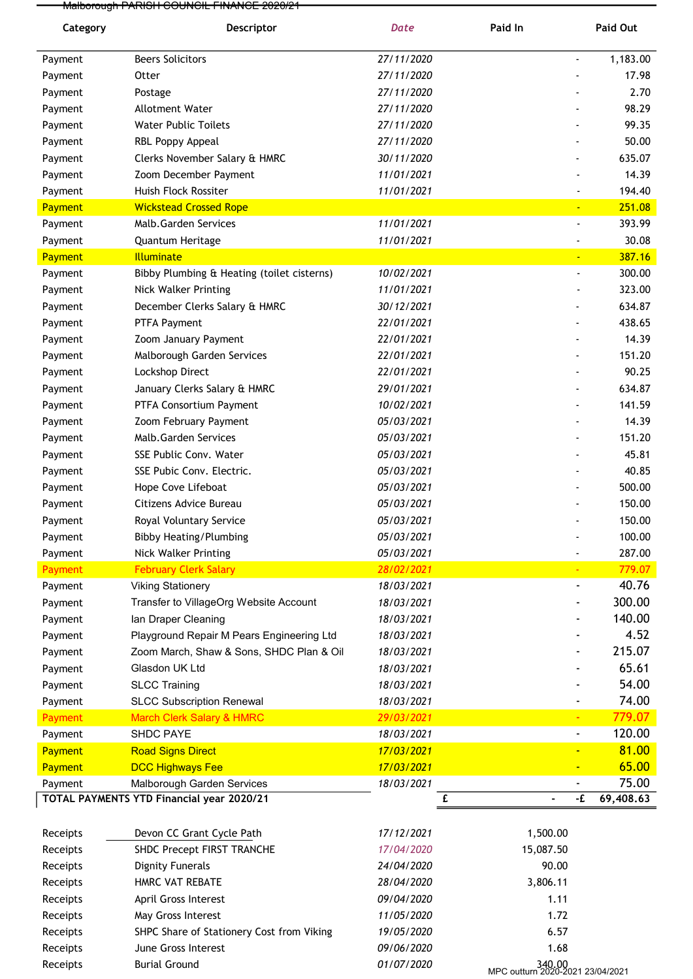Malborough PARISH COUNCIL FINANCE 2020/21

| Category       | Descriptor                                 | <b>Date</b> | Paid In        | Paid Out  |
|----------------|--------------------------------------------|-------------|----------------|-----------|
| Payment        | <b>Beers Solicitors</b>                    | 27/11/2020  | $\blacksquare$ | 1,183.00  |
| Payment        | Otter                                      | 27/11/2020  |                | 17.98     |
| Payment        | Postage                                    | 27/11/2020  |                | 2.70      |
| Payment        | Allotment Water                            | 27/11/2020  |                | 98.29     |
| Payment        | <b>Water Public Toilets</b>                | 27/11/2020  |                | 99.35     |
| Payment        | RBL Poppy Appeal                           | 27/11/2020  |                | 50.00     |
| Payment        | Clerks November Salary & HMRC              | 30/11/2020  |                | 635.07    |
| Payment        | Zoom December Payment                      | 11/01/2021  |                | 14.39     |
| Payment        | Huish Flock Rossiter                       | 11/01/2021  |                | 194.40    |
| Payment        | <b>Wickstead Crossed Rope</b>              |             |                | 251.08    |
| Payment        | Malb.Garden Services                       | 11/01/2021  | $\blacksquare$ | 393.99    |
| Payment        | Quantum Heritage                           | 11/01/2021  |                | 30.08     |
| Payment        | <b>Illuminate</b>                          |             | ÷,             | 387.16    |
| Payment        | Bibby Plumbing & Heating (toilet cisterns) | 10/02/2021  | $\overline{a}$ | 300.00    |
| Payment        | Nick Walker Printing                       | 11/01/2021  |                | 323.00    |
| Payment        | December Clerks Salary & HMRC              | 30/12/2021  |                | 634.87    |
| Payment        | PTFA Payment                               | 22/01/2021  |                | 438.65    |
| Payment        | Zoom January Payment                       | 22/01/2021  |                | 14.39     |
| Payment        | Malborough Garden Services                 | 22/01/2021  |                | 151.20    |
| Payment        | Lockshop Direct                            | 22/01/2021  |                | 90.25     |
| Payment        | January Clerks Salary & HMRC               | 29/01/2021  |                | 634.87    |
| Payment        | PTFA Consortium Payment                    | 10/02/2021  |                | 141.59    |
| Payment        | Zoom February Payment                      | 05/03/2021  |                | 14.39     |
| Payment        | Malb.Garden Services                       | 05/03/2021  |                | 151.20    |
| Payment        | SSE Public Conv. Water                     | 05/03/2021  |                | 45.81     |
| Payment        | SSE Pubic Conv. Electric.                  | 05/03/2021  |                | 40.85     |
| Payment        | Hope Cove Lifeboat                         | 05/03/2021  |                | 500.00    |
| Payment        | Citizens Advice Bureau                     | 05/03/2021  |                | 150.00    |
| Payment        | Royal Voluntary Service                    | 05/03/2021  |                | 150.00    |
| Payment        | <b>Bibby Heating/Plumbing</b>              | 05/03/2021  |                | 100.00    |
| Payment        | Nick Walker Printing                       | 05/03/2021  |                | 287.00    |
| Payment        | <b>February Clerk Salary</b>               | 28/02/2021  |                | 779.07    |
| Payment        | <b>Viking Stationery</b>                   | 18/03/2021  | $\blacksquare$ | 40.76     |
| Payment        | Transfer to VillageOrg Website Account     | 18/03/2021  |                | 300.00    |
| Payment        | Ian Draper Cleaning                        | 18/03/2021  |                | 140.00    |
| Payment        | Playground Repair M Pears Engineering Ltd  | 18/03/2021  |                | 4.52      |
| Payment        | Zoom March, Shaw & Sons, SHDC Plan & Oil   | 18/03/2021  |                | 215.07    |
| Payment        | Glasdon UK Ltd                             | 18/03/2021  |                | 65.61     |
| Payment        | <b>SLCC Training</b>                       | 18/03/2021  |                | 54.00     |
| Payment        | <b>SLCC Subscription Renewal</b>           | 18/03/2021  |                | 74.00     |
| <b>Payment</b> | <b>March Clerk Salary &amp; HMRC</b>       | 29/03/2021  |                | 779.07    |
| Payment        | SHDC PAYE                                  | 18/03/2021  | $\blacksquare$ | 120.00    |
| Payment        | <b>Road Signs Direct</b>                   | 17/03/2021  | ц              | 81.00     |
| Payment        | <b>DCC Highways Fee</b>                    | 17/03/2021  |                | 65.00     |
| Payment        | Malborough Garden Services                 | 18/03/2021  |                | 75.00     |
|                | TOTAL PAYMENTS YTD Financial year 2020/21  |             | £<br>-£        | 69,408.63 |
|                |                                            |             |                |           |

| Receipts | Devon CC Grant Cycle Path                 | 17/12/2021 | 1,500.00                                   |
|----------|-------------------------------------------|------------|--------------------------------------------|
| Receipts | SHDC Precept FIRST TRANCHE                | 17/04/2020 | 15,087.50                                  |
| Receipts | Dignity Funerals                          | 24/04/2020 | 90.00                                      |
| Receipts | HMRC VAT REBATE                           | 28/04/2020 | 3,806.11                                   |
| Receipts | April Gross Interest                      | 09/04/2020 | 1.11                                       |
| Receipts | May Gross Interest                        | 11/05/2020 | 1.72                                       |
| Receipts | SHPC Share of Stationery Cost from Viking | 19/05/2020 | 6.57                                       |
| Receipts | June Gross Interest                       | 09/06/2020 | 1.68                                       |
| Receipts | <b>Burial Ground</b>                      | 01/07/2020 | 340,00<br>MPC outturn 2020-2021 23/04/2021 |